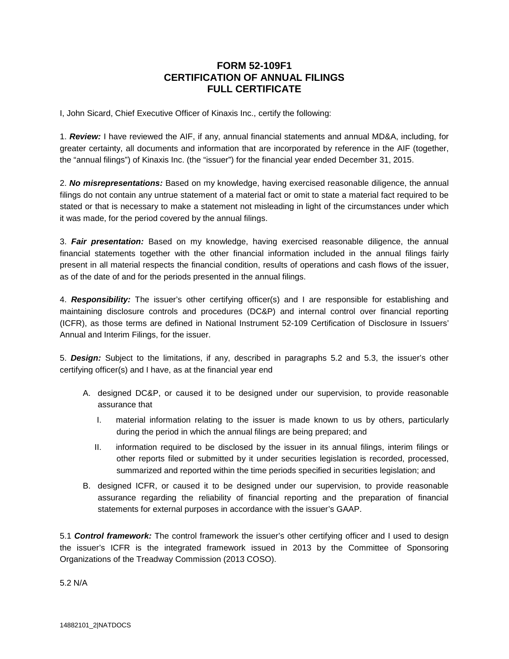## **FORM 52-109F1 CERTIFICATION OF ANNUAL FILINGS FULL CERTIFICATE**

I, John Sicard, Chief Executive Officer of Kinaxis Inc., certify the following:

1. *Review:* I have reviewed the AIF, if any, annual financial statements and annual MD&A, including, for greater certainty, all documents and information that are incorporated by reference in the AIF (together, the "annual filings") of Kinaxis Inc. (the "issuer") for the financial year ended December 31, 2015.

2. *No misrepresentations:* Based on my knowledge, having exercised reasonable diligence, the annual filings do not contain any untrue statement of a material fact or omit to state a material fact required to be stated or that is necessary to make a statement not misleading in light of the circumstances under which it was made, for the period covered by the annual filings.

3. *Fair presentation:* Based on my knowledge, having exercised reasonable diligence, the annual financial statements together with the other financial information included in the annual filings fairly present in all material respects the financial condition, results of operations and cash flows of the issuer, as of the date of and for the periods presented in the annual filings.

4. *Responsibility:* The issuer's other certifying officer(s) and I are responsible for establishing and maintaining disclosure controls and procedures (DC&P) and internal control over financial reporting (ICFR), as those terms are defined in National Instrument 52-109 Certification of Disclosure in Issuers' Annual and Interim Filings, for the issuer.

5. *Design:* Subject to the limitations, if any, described in paragraphs 5.2 and 5.3, the issuer's other certifying officer(s) and I have, as at the financial year end

- A. designed DC&P, or caused it to be designed under our supervision, to provide reasonable assurance that
	- I. material information relating to the issuer is made known to us by others, particularly during the period in which the annual filings are being prepared; and
	- II. information required to be disclosed by the issuer in its annual filings, interim filings or other reports filed or submitted by it under securities legislation is recorded, processed, summarized and reported within the time periods specified in securities legislation; and
- B. designed ICFR, or caused it to be designed under our supervision, to provide reasonable assurance regarding the reliability of financial reporting and the preparation of financial statements for external purposes in accordance with the issuer's GAAP.

5.1 *Control framework:* The control framework the issuer's other certifying officer and I used to design the issuer's ICFR is the integrated framework issued in 2013 by the Committee of Sponsoring Organizations of the Treadway Commission (2013 COSO).

5.2 N/A